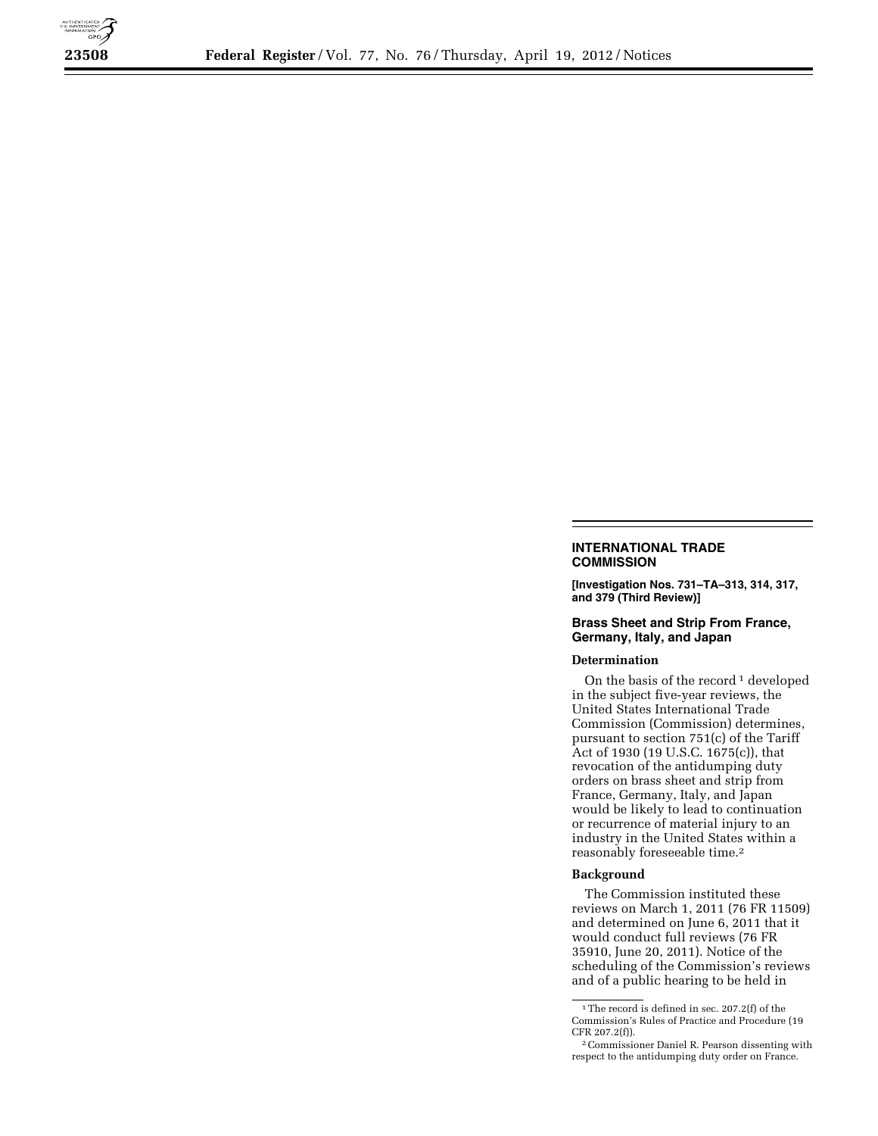

## **INTERNATIONAL TRADE COMMISSION**

**[Investigation Nos. 731–TA–313, 314, 317, and 379 (Third Review)]** 

## **Brass Sheet and Strip From France, Germany, Italy, and Japan**

## **Determination**

On the basis of the record<sup>1</sup> developed in the subject five-year reviews, the United States International Trade Commission (Commission) determines, pursuant to section 751(c) of the Tariff Act of 1930 (19 U.S.C. 1675(c)), that revocation of the antidumping duty orders on brass sheet and strip from France, Germany, Italy, and Japan would be likely to lead to continuation or recurrence of material injury to an industry in the United States within a reasonably foreseeable time.2

## **Background**

The Commission instituted these reviews on March 1, 2011 (76 FR 11509) and determined on June 6, 2011 that it would conduct full reviews (76 FR 35910, June 20, 2011). Notice of the scheduling of the Commission's reviews and of a public hearing to be held in

<sup>&</sup>lt;sup>1</sup>The record is defined in sec. 207.2(f) of the Commission's Rules of Practice and Procedure (19 CFR 207.2(f)).

<sup>2</sup>Commissioner Daniel R. Pearson dissenting with respect to the antidumping duty order on France.